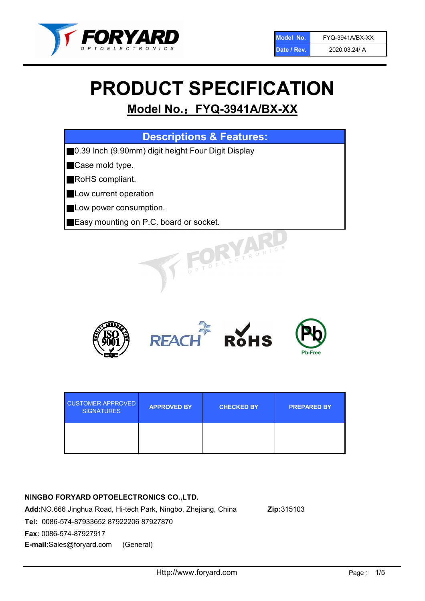

# PRODUCT SPECIFICATION

# Model No.: FYQ-3941A/BX-XX

| <b>Descriptions &amp; Features:</b>                |
|----------------------------------------------------|
| 0.39 Inch (9.90mm) digit height Four Digit Display |
| Case mold type.                                    |
| RoHS compliant.                                    |
| Low current operation                              |
| Low power consumption.                             |
| Easy mounting on P.C. board or socket.             |
| TOELEGTRONIC.                                      |



| <b>CUSTOMER APPROVED</b><br><b>SIGNATURES</b> | <b>APPROVED BY</b> | <b>CHECKED BY</b> | <b>PREPARED BY</b> |
|-----------------------------------------------|--------------------|-------------------|--------------------|
|                                               |                    |                   |                    |

# NINGBO FORYARD OPTOELECTRONICS CO.,LTD.

Add:NO.666 Jinghua Road, Hi-tech Park, Ningbo, Zhejiang, China Zip:315103 Tel: 0086-574-87933652 87922206 87927870 Fax: 0086-574-87927917 E-mail:Sales@foryard.com (General)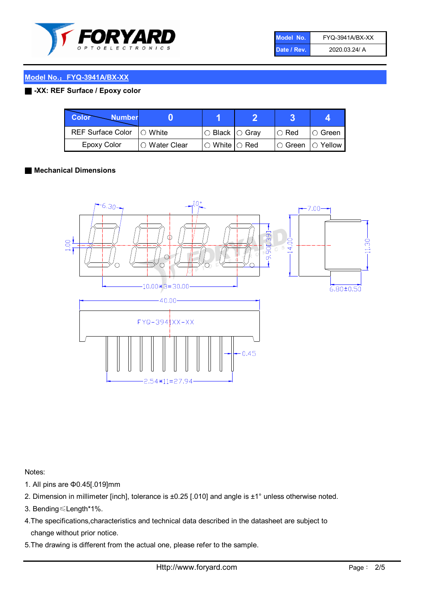

| Model No.   | FYQ-3941A/BX-XX |
|-------------|-----------------|
| Date / Rev. | 2020.03.24/ A   |

#### ■ -XX: REF Surface / Epoxy color

| Color<br><b>Number</b>      |                |                                                   |             |                |
|-----------------------------|----------------|---------------------------------------------------|-------------|----------------|
| REF Surface Color   O White |                | ○ Black  ○ Gray                                   | $\circ$ Red | $\circ$ Green  |
| Epoxy Color                 | I⊖ Water Clear | $\mathbin{\varcap}$ White $\mathbin{\varcap}$ Red | IO Green∶   | $\circ$ Yellow |

#### ■ Mechanical Dimensions



Notes:

- 1. All pins are Φ0.45[.019]mm
- 2. Dimension in millimeter [inch], tolerance is ±0.25 [.010] and angle is ±1° unless otherwise noted.
- 3. Bending≤Length\*1%.
- 4.The specifications,characteristics and technical data described in the datasheet are subject to change without prior notice.
- 5.The drawing is different from the actual one, please refer to the sample.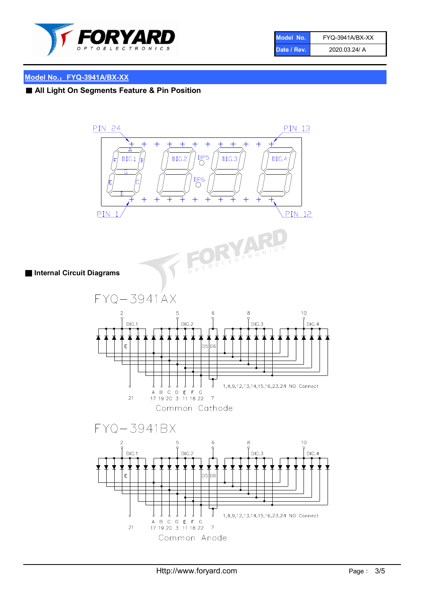

| Model No.   | FYQ-3941A/BX-XX |
|-------------|-----------------|
| Date / Rev. | 2020.03.24/ A   |

# ■ All Light On Segments Feature & Pin Position

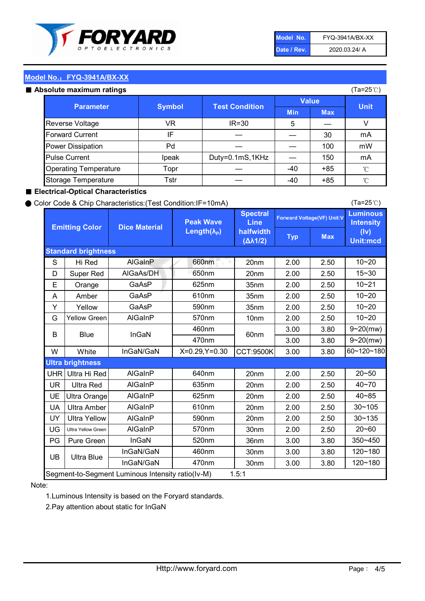

| Model No.   | <b>FYQ-3941A/BX-XX</b> |
|-------------|------------------------|
| Date / Rev. | 2020.03.24/ A          |

#### Absolute maximum ratings

| ISUIULU IIIAAIIIIUIIII TALIIIYS |               |                       |              | (⊺a−∠J ∪ <i>)</i> |              |
|---------------------------------|---------------|-----------------------|--------------|-------------------|--------------|
| <b>Parameter</b>                | <b>Symbol</b> | <b>Test Condition</b> | <b>Value</b> |                   | <b>Unit</b>  |
|                                 |               |                       | <b>Min</b>   | <b>Max</b>        |              |
| Reverse Voltage                 | VR            | $IR = 30$             | 5            |                   |              |
| <b>Forward Current</b>          | ΙF            |                       |              | 30                | mA           |
| Power Dissipation               | Pd            |                       |              | 100               | mW           |
| <b>Pulse Current</b>            | Ipeak         | Duty=0.1mS,1KHz       |              | 150               | mA           |
| <b>Operating Temperature</b>    | Topr          |                       | $-40$        | $+85$             | $^{\circ}$ C |
| Storage Temperature             | Tstr          |                       | $-40$        | $+85$             | °C           |

#### ■ Electrical-Optical Characteristics

#### ● Color Code & Chip Characteristics:(Test Condition:IF=10mA)

Typ Max S | Hi $\textsf{Red}$  | AlGaInP | 660nm LE 20nm | 2.00 | 2.50 D | Super Red | AIGaAs/DH | 650nm | 20nm | 2.00 | 2.50 E | Orange | GaAsP | 625nm | 35nm | 2.00 | 2.50 A | Amber | GaAsP | 610nm | 35nm | 2.00 | 2.50 Y | Yellow | GaAsP | 590nm | 35nm | 2.00 | 2.50 G Yellow Green AIGaInP | 570nm | 10nm | 2.00 | 2.50 3.00 3.80 3.00 3.80 W | White | InGaN/GaN | X=0.29,Y=0.30 |CCT:9500K| 3.00 | 3.80 UHR Ultra Hi Red  $\vert$  AIGaInP  $\vert$  640nm  $\vert$  20nm  $\vert$  2.00  $\vert$  2.50 UR | Ultra Red | AlGaInP | 635nm | 20nm | 2.00 | 2.50 UE Ultra Orange | AIGaInP | 625nm | 20nm | 2.00 | 2.50 UA Ultra Amber | AIGaInP | 610nm | 20nm | 2.00 | 2.50  $UV$  Ultra Yellow  $\vert$  AlGaInP  $\vert$  590nm  $\vert$  20nm  $\vert$  2.00  $\vert$  2.50  $\text{UG}$  Ultra Yellow Green | AIGaInP | 570nm | 30nm | 2.00 | 2.50 PG Pure Green | InGaN | 520nm | 36nm | 3.00 | 3.80 30nm 3.00 3.80 30nm 3.00 3.80 40~85 60~120~180 40~70 Segment-to-Segment Luminous Intensity ratio(Iv-M) 1.5:1 610nm 9~20(mw) 350~450 470nm 120~180 120~180 Ultra Blue InGaN/GaN 9~20(mw) 20~50 570nm | 30nm | 2.00 | 2.50 | 20~60 470nm 590nm InGaN/GaN B Blue I InGaN 570nm | 10nm | 2.00 | 2.50 | 10~20 30~105 30~135 460nm 520nm Ultra brightness **AlGaInP** AlGaInP 60nm AlGaInP 640nm Peak Wave Length $(\lambda_{\rm P})$ UB 460nm 635nm AlGaInP AlGaInP AlGaInP InGaN/GaN AlGaInP 10~20 Luminous **Intensity** (Iv) Unit:mcd AlGainP 660nm GaAsP GaAsP AlGaAs/DH **Spectral** Line halfwidth (∆λ1/2) 10~20 Standard brightness Forward Voltage(VF) Unit:V 15~30 10~20 625nm GaAsP 590nm **Emitting Color Dice Material** 10~21 610nm

#### Note:

1.Luminous Intensity is based on the Foryard standards.

2.Pay attention about static for InGaN

(Ta=25℃)

(Ta=25℃)